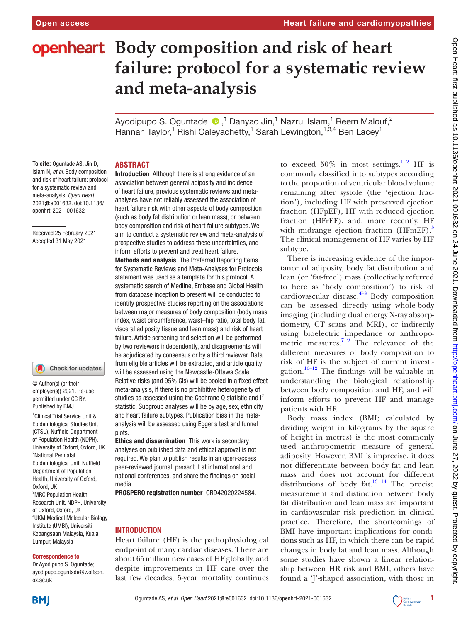# **openheart** Body composition and risk of heart **failure: protocol for a systematic review and meta-analysis**

AyodipupoS. Oguntade  $\bigcirc$  ,<sup>1</sup> Danyao Jin,<sup>1</sup> Nazrul Islam,<sup>1</sup> Reem Malouf,<sup>2</sup> Hannah Taylor,<sup>1</sup> Rishi Caleyachetty,<sup>1</sup> Sarah Lewington,<sup>1,3,4</sup> Ben Lacey<sup>1</sup>

### **ABSTRACT**

**To cite:** Oguntade AS, Jin D, Islam N*, et al*. Body composition and risk of heart failure: protocol for a systematic review and meta-analysis*. Open Heart* 2021;8:e001632. doi:10.1136/ openhrt-2021-001632

Received 25 February 2021 Accepted 31 May 2021

#### O Check for updates

1 Clinical Trial Service Unit & Epidemiological Studies Unit (CTSU), Nuffield Department of Population Health (NDPH), University of Oxford, Oxford, UK <sup>2</sup>National Perinatal Epidemiological Unit, Nuffield Department of Population Health, University of Oxford, Oxford, UK <sup>3</sup>MRC Population Health Research Unit, NDPH, University of Oxford, Oxford, UK 4 UKM Medical Molecular Biology Institute (UMBI), Universiti Kebangsaan Malaysia, Kuala Lumpur, Malaysia © Author(s) (or their employer(s)) 2021. Re-use permitted under CC BY. Published by BMJ.

#### Correspondence to

Dr Ayodipupo S. Oguntade; ayodipupo.oguntade@wolfson. ox.ac.uk

Introduction Although there is strong evidence of an association between general adiposity and incidence of heart failure, previous systematic reviews and metaanalyses have not reliably assessed the association of heart failure risk with other aspects of body composition (such as body fat distribution or lean mass), or between body composition and risk of heart failure subtypes. We aim to conduct a systematic review and meta-analysis of prospective studies to address these uncertainties, and inform efforts to prevent and treat heart failure.

Methods and analysis The Preferred Reporting Items for Systematic Reviews and Meta-Analyses for Protocols statement was used as a template for this protocol. A systematic search of Medline, Embase and Global Health from database inception to present will be conducted to identify prospective studies reporting on the associations between major measures of body composition (body mass index, waist circumference, waist–hip ratio, total body fat, visceral adiposity tissue and lean mass) and risk of heart failure. Article screening and selection will be performed by two reviewers independently, and disagreements will be adjudicated by consensus or by a third reviewer. Data from eligible articles will be extracted, and article quality will be assessed using the Newcastle-Ottawa Scale. Relative risks (and 95% CIs) will be pooled in a fixed effect meta-analysis, if there is no prohibitive heterogeneity of studies as assessed using the Cochrane Q statistic and  $I^2$ statistic. Subgroup analyses will be by age, sex, ethnicity and heart failure subtypes. Publication bias in the metaanalysis will be assessed using Egger's test and funnel plots.

Ethics and dissemination This work is secondary analyses on published data and ethical approval is not required. We plan to publish results in an open-access peer-reviewed journal, present it at international and national conferences, and share the findings on social media.

PROSPERO registration number CRD42020224584.

#### INTRODUCTION

Heart failure (HF) is the pathophysiological endpoint of many cardiac diseases. There are about 65million new cases of HF globally, and despite improvements in HF care over the last few decades, 5-year mortality continues to exceed  $50\%$  in most settings.<sup>1</sup> <sup>2</sup> HF is commonly classified into subtypes according to the proportion of ventricular blood volume remaining after systole (the 'ejection fraction'), including HF with preserved ejection fraction (HFpEF), HF with reduced ejection fraction (HFrEF), and, more recently, HF with midrange ejection fraction  $(HFmEF)$ .<sup>3</sup> The clinical management of HF varies by HF subtype.

There is increasing evidence of the importance of adiposity, body fat distribution and lean (or 'fat-free') mass (collectively referred to here as 'body composition') to risk of cardiovascular disease. $4-8$  Body composition can be assessed directly using whole-body imaging (including dual energy X-ray absorptiometry, CT scans and MRI), or indirectly using bioelectric impedance or anthropometric measures.<sup>7 9</sup> The relevance of the different measures of body composition to risk of HF is the subject of current investi-gation.<sup>[10–12](#page-4-4)</sup> The findings will be valuable in understanding the biological relationship between body composition and HF, and will inform efforts to prevent HF and manage patients with HF.

Body mass index (BMI; calculated by dividing weight in kilograms by the square of height in metres) is the most commonly used anthropometric measure of general adiposity. However, BMI is imprecise, it does not differentiate between body fat and lean mass and does not account for different distributions of body fat. $13^{14}$  The precise measurement and distinction between body fat distribution and lean mass are important in cardiovascular risk prediction in clinical practice. Therefore, the shortcomings of BMI have important implications for conditions such as HF, in which there can be rapid changes in body fat and lean mass. Although some studies have shown a linear relationship between HR risk and BMI, others have found a 'J'-shaped association, with those in



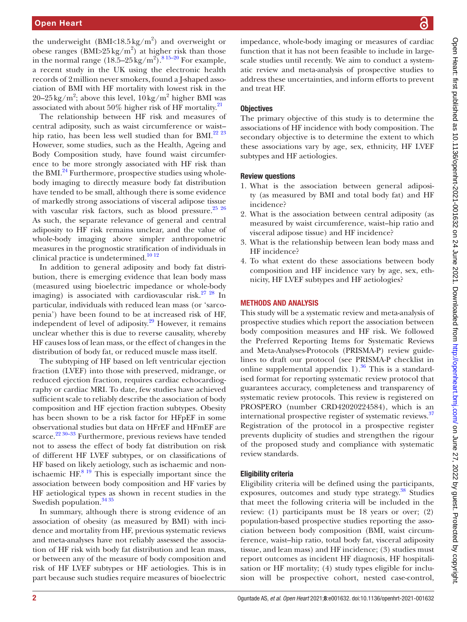the underweight (BMI<18.5 kg/m<sup>2</sup>) and overweight or obese ranges  $(BMI > 25 \text{ kg/m}^2)$  at higher risk than those in the normal range  $(18.5-25 \text{ kg/m}^2)$ .<sup>815-20</sup> For example, a recent study in the UK using the electronic health records of 2million never smokers, found a J-shaped association of BMI with HF mortality with lowest risk in the 20–25 kg/m<sup>2</sup>; above this level,  $10 \text{ kg/m}^2$  higher BMI was associated with about 50% higher risk of HF mortality.<sup>[21](#page-4-7)</sup>

The relationship between HF risk and measures of central adiposity, such as waist circumference or waist– hip ratio, has been less well studied than for BMI.<sup>[22 23](#page-4-8)</sup> However, some studies, such as the Health, Ageing and Body Composition study, have found waist circumference to be more strongly associated with HF risk than the BMI. $^{24}$  Furthermore, prospective studies using wholebody imaging to directly measure body fat distribution have tended to be small, although there is some evidence of markedly strong associations of visceral adipose tissue with vascular risk factors, such as blood pressure.<sup>25</sup> <sup>26</sup> As such, the separate relevance of general and central adiposity to HF risk remains unclear, and the value of whole-body imaging above simpler anthropometric measures in the prognostic stratification of individuals in clinical practice is undetermined.<sup>10 12</sup>

In addition to general adiposity and body fat distribution, there is emerging evidence that lean body mass (measured using bioelectric impedance or whole-body imaging) is associated with cardiovascular risk.<sup>27</sup> 28</sup> In particular, individuals with reduced lean mass (or 'sarcopenia') have been found to be at increased risk of HF, independent of level of adiposity.<sup>29</sup> However, it remains unclear whether this is due to reverse causality, whereby HF causes loss of lean mass, or the effect of changes in the distribution of body fat, or reduced muscle mass itself.

The subtyping of HF based on left ventricular ejection fraction (LVEF) into those with preserved, midrange, or reduced ejection fraction, requires cardiac echocardiography or cardiac MRI. To date, few studies have achieved sufficient scale to reliably describe the association of body composition and HF ejection fraction subtypes. Obesity has been shown to be a risk factor for HFpEF in some observational studies but data on HFrEF and HFmEF are scarce.<sup>22 30–33</sup> Furthermore, previous reviews have tended not to assess the effect of body fat distribution on risk of different HF LVEF subtypes, or on classifications of HF based on likely aetiology, such as ischaemic and nonischaemic  $HF<sup>8-19</sup>$  This is especially important since the association between body composition and HF varies by HF aetiological types as shown in recent studies in the Swedish population.<sup>[34 35](#page-4-13)</sup>

In summary, although there is strong evidence of an association of obesity (as measured by BMI) with incidence and mortality from HF, previous systematic reviews and meta-analyses have not reliably assessed the association of HF risk with body fat distribution and lean mass, or between any of the measure of body composition and risk of HF LVEF subtypes or HF aetiologies. This is in part because such studies require measures of bioelectric

impedance, whole-body imaging or measures of cardiac function that it has not been feasible to include in largescale studies until recently. We aim to conduct a systematic review and meta-analysis of prospective studies to address these uncertainties, and inform efforts to prevent and treat HF.

### **Objectives**

The primary objective of this study is to determine the associations of HF incidence with body composition. The secondary objective is to determine the extent to which these associations vary by age, sex, ethnicity, HF LVEF subtypes and HF aetiologies.

#### Review questions

- 1. What is the association between general adiposity (as measured by BMI and total body fat) and HF incidence?
- 2. What is the association between central adiposity (as measured by waist circumference, waist–hip ratio and visceral adipose tissue) and HF incidence?
- 3. What is the relationship between lean body mass and HF incidence?
- 4. To what extent do these associations between body composition and HF incidence vary by age, sex, ethnicity, HF LVEF subtypes and HF aetiologies?

#### METHODS AND ANALYSIS

This study will be a systematic review and meta-analysis of prospective studies which report the association between body composition measures and HF risk. We followed the Preferred Reporting Items for Systematic Reviews and Meta-Analyses-Protocols (PRISMA-P) review guidelines to draft our protocol (see PRISMA-P checklist in online supplemental appendix  $1$ ).<sup>36</sup> This is a standardised format for reporting systematic review protocol that guarantees accuracy, completeness and transparency of systematic review protocols. This review is registered on PROSPERO (number CRD42020224584), which is an international prospective register of systematic reviews.<sup>[37](#page-5-1)</sup> Registration of the protocol in a prospective register prevents duplicity of studies and strengthen the rigour of the proposed study and compliance with systematic review standards.

### Eligibility criteria

Eligibility criteria will be defined using the participants, exposures, outcomes and study type strategy.<sup>38</sup> Studies that meet the following criteria will be included in the review: (1) participants must be 18 years or over; (2) population-based prospective studies reporting the association between body composition (BMI, waist circumference, waist–hip ratio, total body fat, visceral adiposity tissue, and lean mass) and HF incidence; (3) studies must report outcomes as incident HF diagnosis, HF hospitalisation or HF mortality; (4) study types eligible for inclusion will be prospective cohort, nested case-control,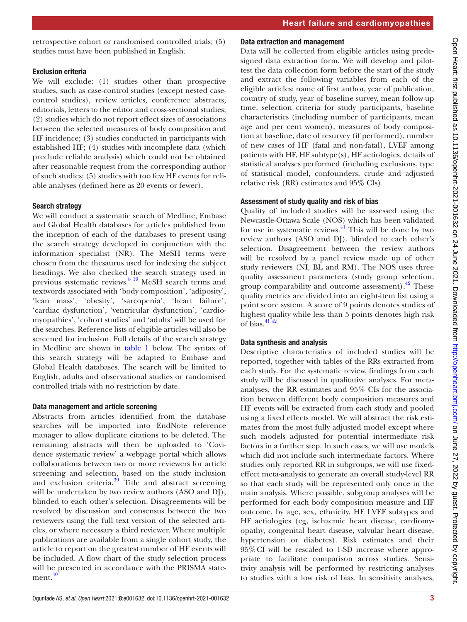retrospective cohort or randomised controlled trials; (5) studies must have been published in English.

# Exclusion criteria

We will exclude: (1) studies other than prospective studies, such as case-control studies (except nested casecontrol studies), review articles, conference abstracts, editorials, letters to the editor and cross-sectional studies; (2) studies which do not report effect sizes of associations between the selected measures of body composition and HF incidence; (3) studies conducted in participants with established HF; (4) studies with incomplete data (which preclude reliable analysis) which could not be obtained after reasonable request from the corresponding author of such studies; (5) studies with too few HF events for reliable analyses (defined here as 20 events or fewer).

# Search strategy

We will conduct a systematic search of Medline, Embase and Global Health databases for articles published from the inception of each of the databases to present using the search strategy developed in conjunction with the information specialist (NR). The MeSH terms were chosen from the thesaurus used for indexing the subject headings. We also checked the search strategy used in previous systematic reviews.[8 19](#page-4-6) MeSH search terms and textwords associated with 'body composition', 'adiposity', 'lean mass', 'obesity', 'sarcopenia', 'heart failure', 'cardiac dysfunction', 'ventricular dysfunction', 'cardiomyopathies', 'cohort studies' and 'adults' will be used for the searches. Reference lists of eligible articles will also be screened for inclusion. Full details of the search strategy in Medline are shown in [table](#page-3-0) 1 below. The syntax of this search strategy will be adapted to Embase and Global Health databases. The search will be limited to English, adults and observational studies or randomised controlled trials with no restriction by date.

# Data management and article screening

Abstracts from articles identified from the database searches will be imported into EndNote reference manager to allow duplicate citations to be deleted. The remaining abstracts will then be uploaded to 'Covidence systematic review' a webpage portal which allows collaborations between two or more reviewers for article screening and selection, based on the study inclusion and exclusion criteria.<sup>39</sup> Title and abstract screening will be undertaken by two review authors (ASO and DJ), blinded to each other's selection. Disagreements will be resolved by discussion and consensus between the two reviewers using the full text version of the selected articles, or where necessary a third reviewer. Where multiple publications are available from a single cohort study, the article to report on the greatest number of HF events will be included. A flow chart of the study selection process will be presented in accordance with the PRISMA state-ment.<sup>[40](#page-5-4)</sup>

## Data extraction and management

Data will be collected from eligible articles using predesigned data extraction form. We will develop and pilottest the data collection form before the start of the study and extract the following variables from each of the eligible articles: name of first author, year of publication, country of study, year of baseline survey, mean follow-up time, selection criteria for study participants, baseline characteristics (including number of participants, mean age and per cent women), measures of body composition at baseline, date of resurvey (if performed), number of new cases of HF (fatal and non-fatal), LVEF among patients with HF, HF subtype(s), HF aetiologies, details of statistical analyses performed (including exclusions, type of statistical model, confounders, crude and adjusted relative risk (RR) estimates and 95% CIs).

# Assessment of study quality and risk of bias

Quality of included studies will be assessed using the Newcastle-Ottawa Scale (NOS) which has been validated for use in systematic reviews. $41$  This will be done by two review authors (ASO and DJ), blinded to each other's selection. Disagreement between the review authors will be resolved by a panel review made up of other study reviewers (NI, BL and RM). The NOS uses three quality assessment parameters (study group selection, group comparability and outcome assessment). $^{42}$  These quality metrics are divided into an eight-item list using a point score system. A score of 9 points denotes studies of highest quality while less than 5 points denotes high risk of bias.[41 42](#page-5-5)

# Data synthesis and analysis

Descriptive characteristics of included studies will be reported, together with tables of the RRs extracted from each study. For the systematic review, findings from each study will be discussed in qualitative analyses. For metaanalyses, the RR estimates and 95% CIs for the association between different body composition measures and HF events will be extracted from each study and pooled using a fixed effects model. We will abstract the risk estimates from the most fully adjusted model except where such models adjusted for potential intermediate risk factors in a further step. In such cases, we will use models which did not include such intermediate factors. Where studies only reported RR in subgroups, we will use fixedeffect meta-analysis to generate an overall study-level RR so that each study will be represented only once in the main analysis. Where possible, subgroup analyses will be performed for each body composition measure and HF outcome, by age, sex, ethnicity, HF LVEF subtypes and HF aetiologies (eg, ischaemic heart disease, cardiomyopathy, congenital heart disease, valvular heart disease, hypertension or diabetes). Risk estimates and their 95%CI will be rescaled to 1-SD increase where appropriate to facilitate comparison across studies. Sensitivity analysis will be performed by restricting analyses to studies with a low risk of bias. In sensitivity analyses,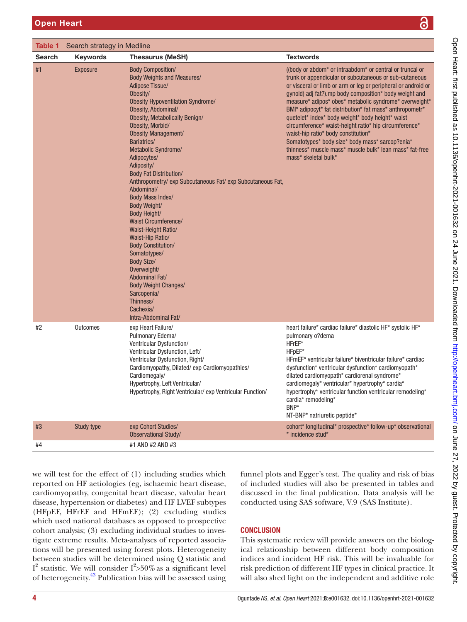<span id="page-3-0"></span>

| Table 1<br>Search strategy in Medline |                 |                                                                                                                                                                                                                                                                                                                                                                                                                                                                                                                                                                                                                                                                                                                                                                      |                                                                                                                                                                                                                                                                                                                                                                                                                                                                                                                                                                                                                                                                                       |
|---------------------------------------|-----------------|----------------------------------------------------------------------------------------------------------------------------------------------------------------------------------------------------------------------------------------------------------------------------------------------------------------------------------------------------------------------------------------------------------------------------------------------------------------------------------------------------------------------------------------------------------------------------------------------------------------------------------------------------------------------------------------------------------------------------------------------------------------------|---------------------------------------------------------------------------------------------------------------------------------------------------------------------------------------------------------------------------------------------------------------------------------------------------------------------------------------------------------------------------------------------------------------------------------------------------------------------------------------------------------------------------------------------------------------------------------------------------------------------------------------------------------------------------------------|
| <b>Search</b>                         | <b>Keywords</b> | <b>Thesaurus (MeSH)</b>                                                                                                                                                                                                                                                                                                                                                                                                                                                                                                                                                                                                                                                                                                                                              | <b>Textwords</b>                                                                                                                                                                                                                                                                                                                                                                                                                                                                                                                                                                                                                                                                      |
| #1                                    | <b>Exposure</b> | <b>Body Composition/</b><br><b>Body Weights and Measures/</b><br>Adipose Tissue/<br>Obesity/<br><b>Obesity Hypoventilation Syndrome/</b><br>Obesity, Abdominal/<br>Obesity, Metabolically Benign/<br>Obesity, Morbid/<br>Obesity Management/<br>Bariatrics/<br>Metabolic Syndrome/<br>Adipocytes/<br>Adiposity/<br><b>Body Fat Distribution/</b><br>Anthropometry/ exp Subcutaneous Fat/ exp Subcutaneous Fat,<br>Abdominal/<br>Body Mass Index/<br>Body Weight/<br><b>Body Height/</b><br><b>Waist Circumference/</b><br>Waist-Height Ratio/<br>Waist-Hip Ratio/<br><b>Body Constitution/</b><br>Somatotypes/<br><b>Body Size/</b><br>Overweight/<br>Abdominal Fat/<br><b>Body Weight Changes/</b><br>Sarcopenia/<br>Thinness/<br>Cachexia/<br>Intra-Abdominal Fat/ | ((body or abdom <sup>*</sup> or intraabdom <sup>*</sup> or central or truncal or<br>trunk or appendicular or subcutaneous or sub-cutaneous<br>or visceral or limb or arm or leg or peripheral or android or<br>gynoid) adj fat?).mp body composition* body weight and<br>measure* adipos* obes* metabolic syndrome* overweight*<br>BMI* adipocyt* fat distribution* fat mass* anthropometr*<br>quetelet* index* body weight* body height* waist<br>circumference* waist-height ratio* hip circumference*<br>waist-hip ratio* body constitution*<br>Somatotypes* body size* body mass* sarcop?enia*<br>thinness* muscle mass* muscle bulk* lean mass* fat-free<br>mass* skeletal bulk* |
| #2                                    | Outcomes        | exp Heart Failure/<br>Pulmonary Edema/<br>Ventricular Dysfunction/<br>Ventricular Dysfunction, Left/<br>Ventricular Dysfunction, Right/<br>Cardiomyopathy, Dilated/exp Cardiomyopathies/<br>Cardiomegaly/<br>Hypertrophy, Left Ventricular/<br>Hypertrophy, Right Ventricular/ exp Ventricular Function/                                                                                                                                                                                                                                                                                                                                                                                                                                                             | heart failure* cardiac failure* diastolic HF* systolic HF*<br>pulmonary o?dema<br>HFrEF*<br>HFpEF*<br>HFmEF* ventricular failure* biventricular failure* cardiac<br>dysfunction* ventricular dysfunction* cardiomyopath*<br>dilated cardiomyopath* cardiorenal syndrome*<br>cardiomegaly* ventricular* hypertrophy* cardia*<br>hypertrophy* ventricular function ventricular remodeling*<br>cardia* remodeling*<br>BNP*<br>NT-BNP* natriuretic peptide*                                                                                                                                                                                                                               |
| #3                                    | Study type      | exp Cohort Studies/<br>Observational Study/                                                                                                                                                                                                                                                                                                                                                                                                                                                                                                                                                                                                                                                                                                                          | cohort* longitudinal* prospective* follow-up* observational<br>* incidence stud*                                                                                                                                                                                                                                                                                                                                                                                                                                                                                                                                                                                                      |
| #4                                    |                 | #1 AND #2 AND #3                                                                                                                                                                                                                                                                                                                                                                                                                                                                                                                                                                                                                                                                                                                                                     |                                                                                                                                                                                                                                                                                                                                                                                                                                                                                                                                                                                                                                                                                       |

we will test for the effect of (1) including studies which reported on HF aetiologies (eg, ischaemic heart disease, cardiomyopathy, congenital heart disease, valvular heart disease, hypertension or diabetes) and HF LVEF subtypes (HFpEF, HFrEF and HFmEF); (2) excluding studies which used national databases as opposed to prospective cohort analysis; (3) excluding individual studies to investigate extreme results. Meta-analyses of reported associations will be presented using forest plots. Heterogeneity between studies will be determined using Q statistic and I<sup>2</sup> statistic. We will consider  $I^2 > 50\%$  as a significant level of heterogeneity.<sup>43</sup> Publication bias will be assessed using

funnel plots and Egger's test. The quality and risk of bias of included studies will also be presented in tables and discussed in the final publication. Data analysis will be conducted using SAS software, V.9 (SAS Institute).

### **CONCLUSION**

This systematic review will provide answers on the biological relationship between different body composition indices and incident HF risk. This will be invaluable for risk prediction of different HF types in clinical practice. It will also shed light on the independent and additive role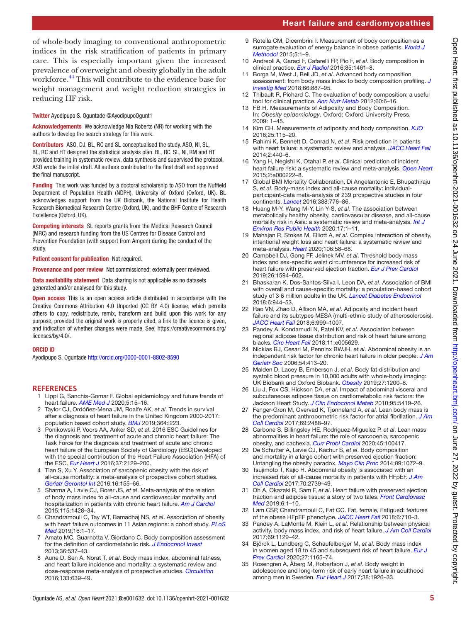# Heart failure and cardiomyopathies

of whole-body imaging to conventional anthropometric indices in the risk stratification of patients in primary care. This is especially important given the increased prevalence of overweight and obesity globally in the adult workforce.<sup>44</sup> This will contribute to the evidence base for weight management and weight reduction strategies in reducing HF risk.

#### Twitter Ayodipupo S. Oguntade [@AyodipupoOgunt1](https://twitter.com/AyodipupoOgunt1)

Acknowledgements We acknowledge Nia Roberts (NR) for working with the authors to develop the search strategy for this work.

Contributors ASO, DJ, BL, RC and SL conceptualised the study. ASO, NI, SL, BL, RC and HT designed the statistical analysis plan. BL, RC, SL, NI, RM and HT provided training in systematic review, data synthesis and supervised the protocol. ASO wrote the initial draft. All authors contributed to the final draft and approved the final manuscript.

Funding This work was funded by a doctoral scholarship to ASO from the Nuffield Department of Population Health (NDPH), University of Oxford (Oxford, UK). BL acknowledges support from the UK Biobank, the National Institute for Health Research Biomedical Research Centre (Oxford, UK), and the BHF Centre of Research Excellence (Oxford, UK).

Competing interests SL reports grants from the Medical Research Council (MRC) and research funding from the US Centres for Disease Control and Prevention Foundation (with support from Amgen) during the conduct of the study.

Patient consent for publication Not required.

Provenance and peer review Not commissioned; externally peer reviewed.

Data availability statement Data sharing is not applicable as no datasets generated and/or analysed for this study.

Open access This is an open access article distributed in accordance with the Creative Commons Attribution 4.0 Unported (CC BY 4.0) license, which permits others to copy, redistribute, remix, transform and build upon this work for any purpose, provided the original work is properly cited, a link to the licence is given, and indication of whether changes were made. See: [https://creativecommons.org/](https://creativecommons.org/licenses/by/4.0/) [licenses/by/4.0/.](https://creativecommons.org/licenses/by/4.0/)

#### ORCID iD

Ayodipupo S. Oguntade<http://orcid.org/0000-0001-8802-8590>

#### **REFERENCES**

- <span id="page-4-0"></span>1 Lippi G, Sanchis-Gomar F. Global epidemiology and future trends of heart failure. *[AME Med J](http://dx.doi.org/10.21037/amj.2020.03.03)* 2020;5:15–16.
- 2 Taylor CJ, Ordóñez-Mena JM, Roalfe AK, *et al*. Trends in survival after a diagnosis of heart failure in the United Kingdom 2000-2017: population based cohort study. *[BMJ](http://dx.doi.org/10.1136/bmj.l223)* 2019;364:l223.
- <span id="page-4-1"></span>3 Ponikowski P, Voors AA, Anker SD, *et al*. 2016 ESC Guidelines for the diagnosis and treatment of acute and chronic heart failure: The Task Force for the diagnosis and treatment of acute and chronic heart failure of the European Society of Cardiology (ESC)Developed with the special contribution of the Heart Failure Association (HFA) of the ESC. *[Eur Heart J](http://dx.doi.org/10.1093/eurheartj/ehw128)* 2016;37:2129–200.
- <span id="page-4-2"></span>4 Tian S, Xu Y. Association of sarcopenic obesity with the risk of all-cause mortality: a meta-analysis of prospective cohort studies. *[Geriatr Gerontol Int](http://dx.doi.org/10.1111/ggi.12579)* 2016;16:155–66.
- 5 Sharma A, Lavie CJ, Borer JS, *et al*. Meta-analysis of the relation of body mass index to all-cause and cardiovascular mortality and hospitalization in patients with chronic heart failure. *[Am J Cardiol](http://dx.doi.org/10.1016/j.amjcard.2015.02.024)* 2015;115:1428–34.
- 6 Chandramouli C, Tay WT, Bamadhaj NS, *et al*. Association of obesity with heart failure outcomes in 11 Asian regions: a cohort study. *[PLoS](http://dx.doi.org/10.1371/journal.pmed.1002916) [Med](http://dx.doi.org/10.1371/journal.pmed.1002916)* 2019;16:1–17.
- <span id="page-4-3"></span>7 Amato MC, Guarnotta V, Giordano C. Body composition assessment for the definition of cardiometabolic risk. *[J Endocrinol Invest](http://dx.doi.org/10.3275/8943)* 2013;36:537–43.
- <span id="page-4-6"></span>8 Aune D, Sen A, Norat T, *et al*. Body mass index, abdominal fatness, and heart failure incidence and mortality: a systematic review and dose-response meta-analysis of prospective studies. *[Circulation](http://dx.doi.org/10.1161/CIRCULATIONAHA.115.016801)* 2016;133:639–49.
- Rotella CM, Dicembrini I. Measurement of body composition as a surrogate evaluation of energy balance in obese patients. *[World J](http://dx.doi.org/10.5662/wjm.v5.i1.1)  [Methodol](http://dx.doi.org/10.5662/wjm.v5.i1.1)* 2015;5:1–9.
- <span id="page-4-4"></span>10 Andreoli A, Garaci F, Cafarelli FP, Pio F, *et al*. Body composition in clinical practice. *[Eur J Radiol](http://dx.doi.org/10.1016/j.ejrad.2016.02.005)* 2016;85:1461–8.
- 11 Borga M, West J, Bell JD, *et al*. Advanced body composition assessment: from body mass index to body composition profiling. *[J](http://dx.doi.org/10.1136/jim-2018-000722)  [Investig Med](http://dx.doi.org/10.1136/jim-2018-000722)* 2018;66:887–95.
- 12 Thibault R, Pichard C. The evaluation of body composition: a useful tool for clinical practice. *[Ann Nutr Metab](http://dx.doi.org/10.1159/000334879)* 2012;60:6–16.
- <span id="page-4-5"></span>13 FB H. Measurements of Adiposity and Body Composition. In: *Obesity epidemiology*. Oxford: Oxford University Press, 2009: 1–45.
- 14 Kim CH. Measurements of adiposity and body composition. *[KJO](http://dx.doi.org/10.7570/kjo.2016.25.3.115)* 2016;25:115–20.
- 15 Rahimi K, Bennett D, Conrad N, *et al*. Risk prediction in patients with heart failure: a systematic review and analysis. *[JACC Heart Fail](http://dx.doi.org/10.1016/j.jchf.2014.04.008)* 2014;2:440–6.
- 16 Yang H, Negishi K, Otahal P, *et al*. Clinical prediction of incident heart failure risk: a systematic review and meta-analysis. *[Open Heart](http://dx.doi.org/10.1136/openhrt-2014-000222)* 2015;2:e000222–8.
- 17 Global BMI Mortality Collaboration, Di Angelantonio E, Bhupathiraju S, *et al*. Body-mass index and all-cause mortality: individualparticipant-data meta-analysis of 239 prospective studies in four continents. *[Lancet](http://dx.doi.org/10.1016/S0140-6736(16)30175-1)* 2016;388:776–86.
- 18 Huang M-Y, Wang M-Y, Lin Y-S, *et al*. The association between metabolically healthy obesity, cardiovascular disease, and all-cause mortality risk in Asia: a systematic review and meta-analysis. *[Int J](http://dx.doi.org/10.3390/ijerph17041320)  [Environ Res Public Health](http://dx.doi.org/10.3390/ijerph17041320)* 2020;17:1–11.
- 19 Mahajan R, Stokes M, Elliott A, *et al*. Complex interaction of obesity, intentional weight loss and heart failure: a systematic review and meta-analysis. *[Heart](http://dx.doi.org/10.1136/heartjnl-2019-314770)* 2020;106:58–68.
- 20 Campbell DJ, Gong FF, Jelinek MV, *et al*. Threshold body mass index and sex-specific waist circumference for increased risk of heart failure with preserved ejection fraction. *[Eur J Prev Cardiol](http://dx.doi.org/10.1177/2047487319851298)* 2019;26:1594–602.
- <span id="page-4-7"></span>21 Bhaskaran K, Dos-Santos-Silva I, Leon DA, *et al*. Association of BMI with overall and cause-specific mortality: a population-based cohort study of 3·6 million adults in the UK. *[Lancet Diabetes Endocrinol](http://dx.doi.org/10.1016/S2213-8587(18)30288-2)* 2018;6:944–53.
- <span id="page-4-8"></span>22 Rao VN, Zhao D, Allison MA, *et al*. Adiposity and incident heart failure and its subtypes MESA (multi-ethnic study of atherosclerosis). *[JACC Heart Fail](http://dx.doi.org/10.1016/j.jchf.2018.07.009)* 2018;6:999–1007.
- 23 Pandey A, Kondamudi N, Patel KV, *et al*. Association between regional adipose tissue distribution and risk of heart failure among blacks. *[Circ Heart Fail](http://dx.doi.org/10.1161/CIRCHEARTFAILURE.118.005629)* 2018;11:e005629.
- <span id="page-4-9"></span>24 Nicklas BJ, Cesari M, Penninx BWJH, *et al*. Abdominal obesity is an independent risk factor for chronic heart failure in older people. *[J Am](http://dx.doi.org/10.1111/j.1532-5415.2005.00624.x)  [Geriatr Soc](http://dx.doi.org/10.1111/j.1532-5415.2005.00624.x)* 2006;54:413–20.
- <span id="page-4-10"></span>25 Malden D, Lacey B, Emberson J, *et al*. Body fat distribution and systolic blood pressure in 10,000 adults with whole-body imaging: UK Biobank and Oxford Biobank. *[Obesity](http://dx.doi.org/10.1002/oby.22509)* 2019;27:1200–6.
- 26 Liu J, Fox CS, Hickson DA, *et al*. Impact of abdominal visceral and subcutaneous adipose tissue on cardiometabolic risk factors: the Jackson Heart Study. *[J Clin Endocrinol Metab](http://dx.doi.org/10.1210/jc.2010-1378)* 2010;95:5419–26.
- <span id="page-4-11"></span>27 Fenger-Grøn M, Overvad K, Tjønneland A, *et al*. Lean body mass is the predominant anthropometric risk factor for atrial fibrillation. *[J Am](http://dx.doi.org/10.1016/j.jacc.2017.03.558)  [Coll Cardiol](http://dx.doi.org/10.1016/j.jacc.2017.03.558)* 2017;69:2488–97.
- 28 Carbone S, Billingsley HE, Rodriguez-Miguelez P, *et al*. Lean mass abnormalities in heart failure: the role of sarcopenia, sarcopenic obesity, and cachexia. *[Curr Probl Cardiol](http://dx.doi.org/10.1016/j.cpcardiol.2019.03.006)* 2020;45:100417.
- <span id="page-4-12"></span>29 De Schutter A, Lavie CJ, Kachur S, *et al*. Body composition and mortality in a large cohort with preserved ejection fraction: Untangling the obesity paradox. *[Mayo Clin Proc](http://dx.doi.org/10.1016/j.mayocp.2014.04.025)* 2014;89:1072–9.
- 30 Tsujimoto T, Kajio H. Abdominal obesity is associated with an increased risk of all-cause mortality in patients with HFpEF. *[J Am](http://dx.doi.org/10.1016/j.jacc.2017.09.1111)  [Coll Cardiol](http://dx.doi.org/10.1016/j.jacc.2017.09.1111)* 2017;70:2739–49.
- 31 Oh A, Okazaki R, Sam F, *et al*. Heart failure with preserved ejection fraction and adipose tissue: a story of two tales. *[Front Cardiovasc](http://dx.doi.org/10.3389/fcvm.2019.00110)  [Med](http://dx.doi.org/10.3389/fcvm.2019.00110)* 2019;6:1–10.
- 32 Lam CSP, Chandramouli C, Fat CC. Fat, female, Fatigued: features of the obese HFpEF phenotype. *[JACC Heart Fail](http://dx.doi.org/10.1016/j.jchf.2018.06.006)* 2018;6:710–3.
- 33 Pandey A, LaMonte M, Klein L, *et al*. Relationship between physical activity, body mass index, and risk of heart failure. *[J Am Coll Cardiol](http://dx.doi.org/10.1016/j.jacc.2016.11.081)* 2017;69:1129–42.
- <span id="page-4-13"></span>34 Björck L, Lundberg C, Schaufelberger M, *et al*. Body mass index in women aged 18 to 45 and subsequent risk of heart failure. *[Eur J](http://dx.doi.org/10.1177/2047487319882510)  [Prev Cardiol](http://dx.doi.org/10.1177/2047487319882510)* 2020;27:1165–74.
- 35 Rosengren A, Åberg M, Robertson J, *et al*. Body weight in adolescence and long-term risk of early heart failure in adulthood among men in Sweden. *[Eur Heart J](http://dx.doi.org/10.1093/eurheartj/ehw221)* 2017;38:1926–33.